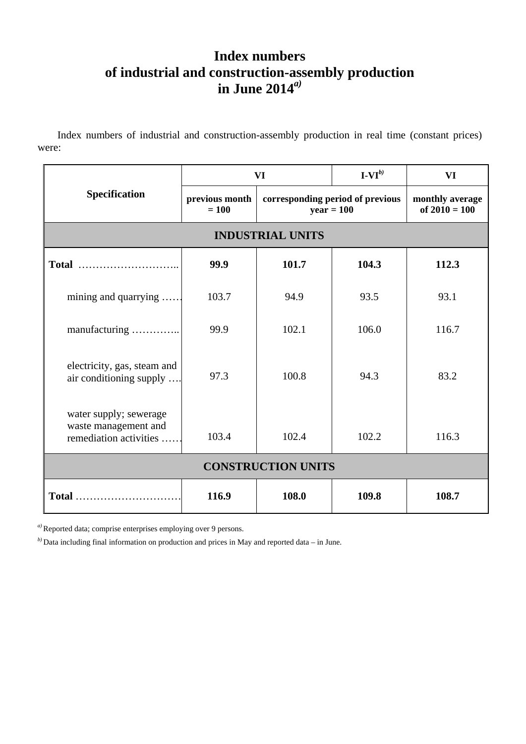## **Index numbers of industrial and construction-assembly production in June 2014***a)*

 Index numbers of industrial and construction-assembly production in real time (constant prices) were:

| Specification                                                            | VI                        |                                                  | $\mathbf{I}\text{-}\mathbf{VI}^{(b)}$ | VI                                 |
|--------------------------------------------------------------------------|---------------------------|--------------------------------------------------|---------------------------------------|------------------------------------|
|                                                                          | previous month<br>$= 100$ | corresponding period of previous<br>$year = 100$ |                                       | monthly average<br>of $2010 = 100$ |
| <b>INDUSTRIAL UNITS</b>                                                  |                           |                                                  |                                       |                                    |
|                                                                          | 99.9                      | 101.7                                            | 104.3                                 | 112.3                              |
| mining and quarrying                                                     | 103.7                     | 94.9                                             | 93.5                                  | 93.1                               |
| manufacturing                                                            | 99.9                      | 102.1                                            | 106.0                                 | 116.7                              |
| electricity, gas, steam and<br>air conditioning supply                   | 97.3                      | 100.8                                            | 94.3                                  | 83.2                               |
| water supply; sewerage<br>waste management and<br>remediation activities | 103.4                     | 102.4                                            | 102.2                                 | 116.3                              |
| <b>CONSTRUCTION UNITS</b>                                                |                           |                                                  |                                       |                                    |
| Total                                                                    | 116.9                     | 108.0                                            | 109.8                                 | 108.7                              |

*a)* Reported data; comprise enterprises employing over 9 persons.

*b)* Data including final information on production and prices in May and reported data – in June.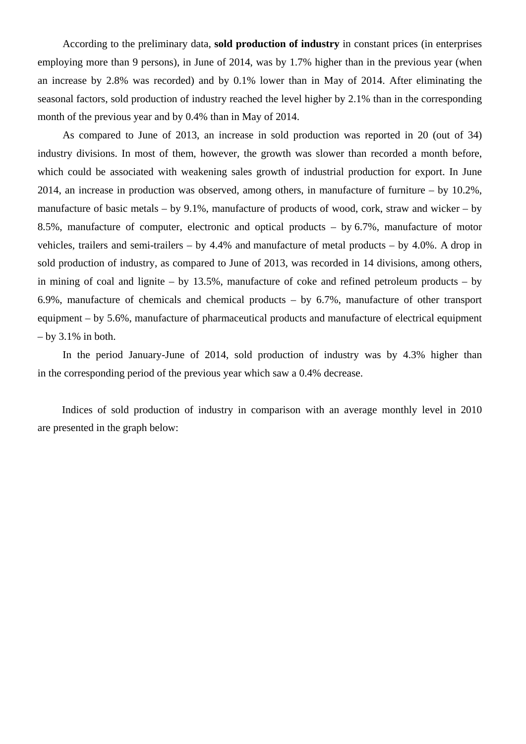According to the preliminary data, **sold production of industry** in constant prices (in enterprises employing more than 9 persons), in June of 2014, was by 1.7% higher than in the previous year (when an increase by 2.8% was recorded) and by 0.1% lower than in May of 2014. After eliminating the seasonal factors, sold production of industry reached the level higher by 2.1% than in the corresponding month of the previous year and by 0.4% than in May of 2014.

As compared to June of 2013, an increase in sold production was reported in 20 (out of 34) industry divisions. In most of them, however, the growth was slower than recorded a month before, which could be associated with weakening sales growth of industrial production for export. In June 2014, an increase in production was observed, among others, in manufacture of furniture – by 10.2%, manufacture of basic metals – by 9.1%, manufacture of products of wood, cork, straw and wicker – by 8.5%, manufacture of computer, electronic and optical products – by 6.7%, manufacture of motor vehicles, trailers and semi-trailers – by 4.4% and manufacture of metal products – by 4.0%. A drop in sold production of industry, as compared to June of 2013, was recorded in 14 divisions, among others, in mining of coal and lignite – by 13.5%, manufacture of coke and refined petroleum products – by 6.9%, manufacture of chemicals and chemical products – by 6.7%, manufacture of other transport equipment – by 5.6%, manufacture of pharmaceutical products and manufacture of electrical equipment  $-$  by 3.1% in both.

In the period January-June of 2014, sold production of industry was by 4.3% higher than in the corresponding period of the previous year which saw a 0.4% decrease.

 Indices of sold production of industry in comparison with an average monthly level in 2010 are presented in the graph below: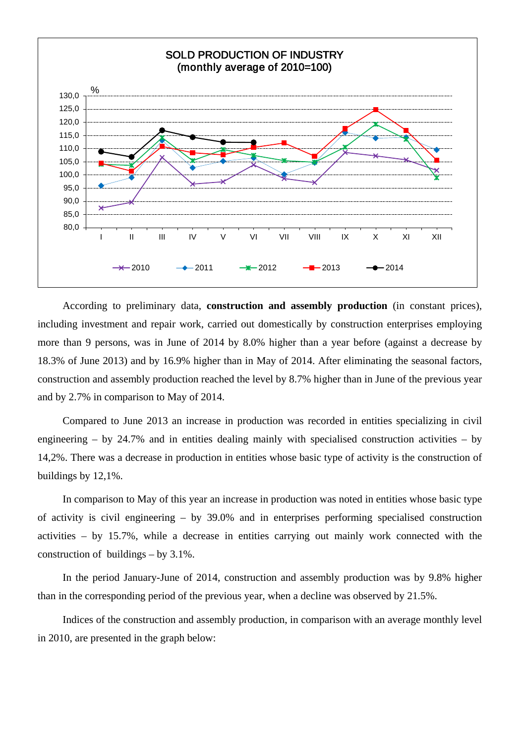

According to preliminary data, **construction and assembly production** (in constant prices), including investment and repair work, carried out domestically by construction enterprises employing more than 9 persons, was in June of 2014 by 8.0% higher than a year before (against a decrease by 18.3% of June 2013) and by 16.9% higher than in May of 2014. After eliminating the seasonal factors, construction and assembly production reached the level by 8.7% higher than in June of the previous year and by 2.7% in comparison to May of 2014.

Compared to June 2013 an increase in production was recorded in entities specializing in civil engineering – by 24.7% and in entities dealing mainly with specialised construction activities – by 14,2%. There was a decrease in production in entities whose basic type of activity is the construction of buildings by 12,1%.

In comparison to May of this year an increase in production was noted in entities whose basic type of activity is civil engineering – by 39.0% and in enterprises performing specialised construction activities – by 15.7%, while a decrease in entities carrying out mainly work connected with the construction of buildings – by 3.1%.

In the period January-June of 2014, construction and assembly production was by 9.8% higher than in the corresponding period of the previous year, when a decline was observed by 21.5%.

Indices of the construction and assembly production, in comparison with an average monthly level in 2010, are presented in the graph below: